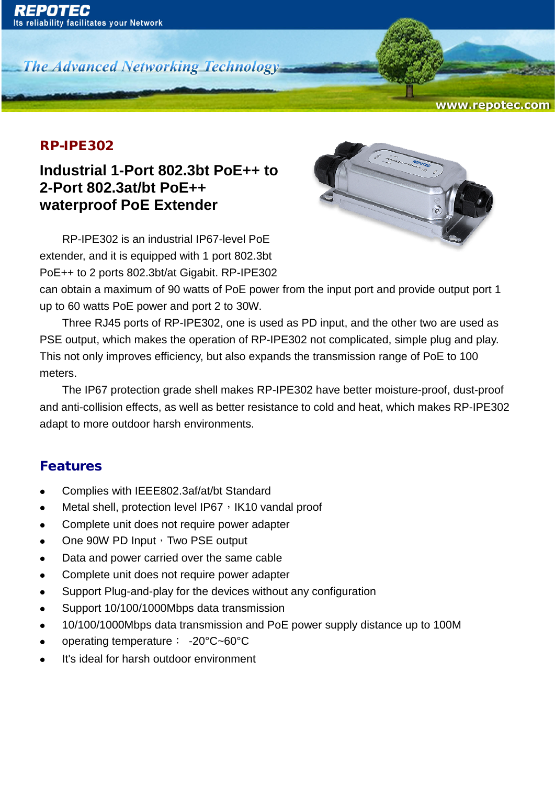**The Advanced Networking Technology** 

#### RP-IPE302

## **Industrial 1-Port 802.3bt PoE++ to 2-Port 802.3at/bt PoE++ waterproof PoE Extender**

RP-IPE302 is an industrial IP67-level PoE extender, and it is equipped with 1 port 802.3bt PoE++ to 2 ports 802.3bt/at Gigabit. RP-IPE302



www.repotec.com

can obtain a maximum of 90 watts of PoE power from the input port and provide output port 1 up to 60 watts PoE power and port 2 to 30W.

Three RJ45 ports of RP-IPE302, one is used as PD input, and the other two are used as PSE output, which makes the operation of RP-IPE302 not complicated, simple plug and play. This not only improves efficiency, but also expands the transmission range of PoE to 100 meters.

The IP67 protection grade shell makes RP-IPE302 have better moisture-proof, dust-proof and anti-collision effects, as well as better resistance to cold and heat, which makes RP-IPE302 adapt to more outdoor harsh environments.

### Features

- Complies with IEEE802.3af/at/bt Standard
- Metal shell, protection level IP67, IK10 vandal proof
- Complete unit does not require power adapter
- One 90W PD Input, Two PSE output
- Data and power carried over the same cable
- Complete unit does not require power adapter
- Support Plug-and-play for the devices without any configuration
- Support 10/100/1000Mbps data transmission
- 10/100/1000Mbps data transmission and PoE power supply distance up to 100M
- operating temperature: -20°C~60°C
- It's ideal for harsh outdoor environment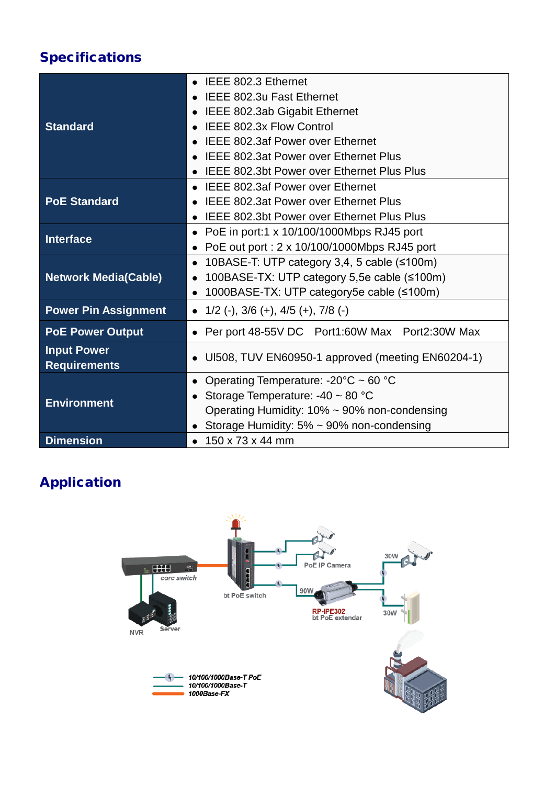# Specifications

| <b>Standard</b>                           | IEEE 802.3 Ethernet                                            |
|-------------------------------------------|----------------------------------------------------------------|
|                                           | <b>IEEE 802.3u Fast Ethernet</b>                               |
|                                           | IEEE 802.3ab Gigabit Ethernet                                  |
|                                           | <b>IEEE 802.3x Flow Control</b>                                |
|                                           | <b>IEEE 802.3af Power over Ethernet</b>                        |
|                                           | <b>IEEE 802.3at Power over Ethernet Plus</b>                   |
|                                           | <b>IEEE 802.3bt Power over Ethernet Plus Plus</b>              |
| <b>PoE Standard</b>                       | <b>IEEE 802.3af Power over Ethernet</b><br>$\bullet$           |
|                                           | <b>IEEE 802.3at Power over Ethernet Plus</b>                   |
|                                           | <b>IEEE 802.3bt Power over Ethernet Plus Plus</b><br>$\bullet$ |
| <b>Interface</b>                          | PoE in port:1 x 10/100/1000Mbps RJ45 port<br>$\bullet$         |
|                                           | PoE out port : 2 x 10/100/1000Mbps RJ45 port<br>$\bullet$      |
| <b>Network Media(Cable)</b>               | 10BASE-T: UTP category 3,4, 5 cable (≤100m)<br>$\bullet$       |
|                                           | 100BASE-TX: UTP category 5,5e cable (≤100m)<br>$\bullet$       |
|                                           | 1000BASE-TX: UTP category5e cable (≤100m)<br>$\bullet$         |
| <b>Power Pin Assignment</b>               | • $1/2$ (-), $3/6$ (+), $4/5$ (+), $7/8$ (-)                   |
| <b>PoE Power Output</b>                   | • Per port 48-55V DC Port1:60W Max Port2:30W Max               |
| <b>Input Power</b><br><b>Requirements</b> | UI508, TUV EN60950-1 approved (meeting EN60204-1)              |
| <b>Environment</b>                        | • Operating Temperature: -20 $\degree$ C ~ 60 $\degree$ C      |
|                                           | Storage Temperature: -40 ~ 80 °C                               |
|                                           | Operating Humidity: $10\% \sim 90\%$ non-condensing            |
|                                           | Storage Humidity: 5% ~ 90% non-condensing<br>$\bullet$         |
| <b>Dimension</b>                          | 150 x 73 x 44 mm<br>$\bullet$                                  |

# Application